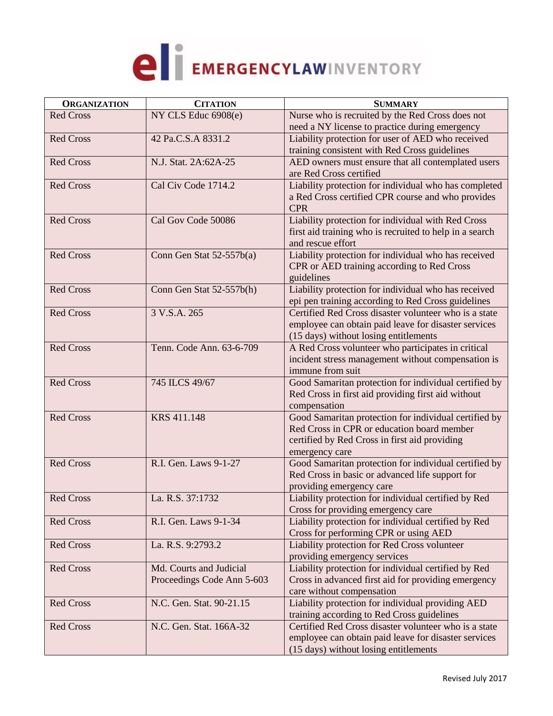

| <b>ORGANIZATION</b> | <b>CITATION</b>            | <b>SUMMARY</b>                                          |
|---------------------|----------------------------|---------------------------------------------------------|
| <b>Red Cross</b>    | NY CLS Educ 6908(e)        | Nurse who is recruited by the Red Cross does not        |
|                     |                            | need a NY license to practice during emergency          |
| <b>Red Cross</b>    | 42 Pa.C.S.A 8331.2         | Liability protection for user of AED who received       |
|                     |                            | training consistent with Red Cross guidelines           |
| <b>Red Cross</b>    | N.J. Stat. 2A:62A-25       | AED owners must ensure that all contemplated users      |
|                     |                            | are Red Cross certified                                 |
| <b>Red Cross</b>    | Cal Civ Code 1714.2        | Liability protection for individual who has completed   |
|                     |                            | a Red Cross certified CPR course and who provides       |
|                     |                            | <b>CPR</b>                                              |
| <b>Red Cross</b>    | Cal Gov Code 50086         | Liability protection for individual with Red Cross      |
|                     |                            | first aid training who is recruited to help in a search |
|                     |                            | and rescue effort                                       |
| <b>Red Cross</b>    | Conn Gen Stat 52-557b(a)   | Liability protection for individual who has received    |
|                     |                            | CPR or AED training according to Red Cross              |
|                     |                            | guidelines                                              |
| <b>Red Cross</b>    | Conn Gen Stat 52-557b(h)   | Liability protection for individual who has received    |
|                     |                            | epi pen training according to Red Cross guidelines      |
| <b>Red Cross</b>    | 3 V.S.A. 265               | Certified Red Cross disaster volunteer who is a state   |
|                     |                            | employee can obtain paid leave for disaster services    |
|                     |                            | (15 days) without losing entitlements                   |
| <b>Red Cross</b>    | Tenn. Code Ann. 63-6-709   | A Red Cross volunteer who participates in critical      |
|                     |                            | incident stress management without compensation is      |
|                     |                            | immune from suit                                        |
| <b>Red Cross</b>    | 745 ILCS 49/67             | Good Samaritan protection for individual certified by   |
|                     |                            | Red Cross in first aid providing first aid without      |
|                     |                            | compensation                                            |
| <b>Red Cross</b>    | <b>KRS 411.148</b>         | Good Samaritan protection for individual certified by   |
|                     |                            | Red Cross in CPR or education board member              |
|                     |                            | certified by Red Cross in first aid providing           |
|                     |                            | emergency care                                          |
| <b>Red Cross</b>    | R.I. Gen. Laws 9-1-27      | Good Samaritan protection for individual certified by   |
|                     |                            | Red Cross in basic or advanced life support for         |
|                     |                            | providing emergency care                                |
| <b>Red Cross</b>    | La. R.S. 37:1732           | Liability protection for individual certified by Red    |
|                     |                            | Cross for providing emergency care                      |
| <b>Red Cross</b>    | R.I. Gen. Laws 9-1-34      | Liability protection for individual certified by Red    |
|                     |                            | Cross for performing CPR or using AED                   |
| <b>Red Cross</b>    | La. R.S. 9:2793.2          | Liability protection for Red Cross volunteer            |
|                     |                            | providing emergency services                            |
| <b>Red Cross</b>    | Md. Courts and Judicial    | Liability protection for individual certified by Red    |
|                     | Proceedings Code Ann 5-603 | Cross in advanced first aid for providing emergency     |
|                     |                            | care without compensation                               |
| <b>Red Cross</b>    | N.C. Gen. Stat. 90-21.15   | Liability protection for individual providing AED       |
|                     |                            | training according to Red Cross guidelines              |
| <b>Red Cross</b>    | N.C. Gen. Stat. 166A-32    | Certified Red Cross disaster volunteer who is a state   |
|                     |                            | employee can obtain paid leave for disaster services    |
|                     |                            | (15 days) without losing entitlements                   |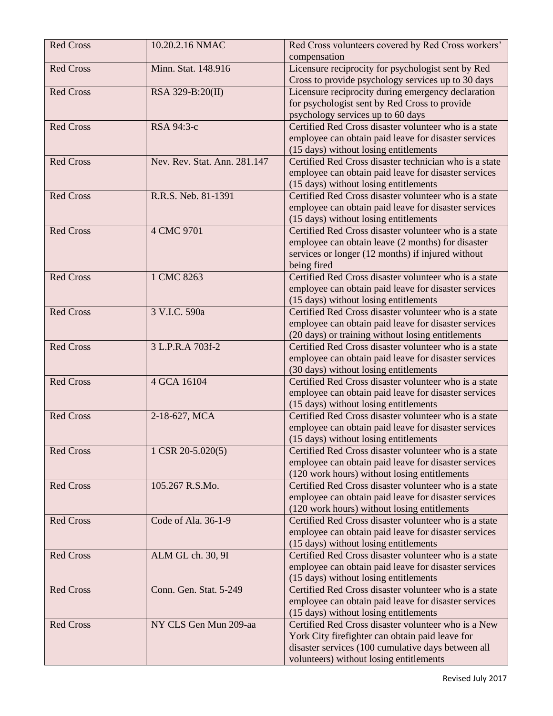| <b>Red Cross</b> | 10.20.2.16 NMAC              | Red Cross volunteers covered by Red Cross workers'<br>compensation |
|------------------|------------------------------|--------------------------------------------------------------------|
| <b>Red Cross</b> | Minn. Stat. 148.916          | Licensure reciprocity for psychologist sent by Red                 |
|                  |                              | Cross to provide psychology services up to 30 days                 |
| <b>Red Cross</b> | RSA 329-B:20(II)             | Licensure reciprocity during emergency declaration                 |
|                  |                              | for psychologist sent by Red Cross to provide                      |
|                  |                              | psychology services up to 60 days                                  |
| <b>Red Cross</b> | RSA 94:3-c                   | Certified Red Cross disaster volunteer who is a state              |
|                  |                              | employee can obtain paid leave for disaster services               |
|                  |                              | (15 days) without losing entitlements                              |
| <b>Red Cross</b> | Nev. Rev. Stat. Ann. 281.147 | Certified Red Cross disaster technician who is a state             |
|                  |                              | employee can obtain paid leave for disaster services               |
|                  |                              | (15 days) without losing entitlements                              |
| <b>Red Cross</b> | R.R.S. Neb. 81-1391          | Certified Red Cross disaster volunteer who is a state              |
|                  |                              | employee can obtain paid leave for disaster services               |
|                  |                              | (15 days) without losing entitlements                              |
| <b>Red Cross</b> | 4 CMC 9701                   | Certified Red Cross disaster volunteer who is a state              |
|                  |                              | employee can obtain leave (2 months) for disaster                  |
|                  |                              | services or longer (12 months) if injured without                  |
|                  |                              | being fired                                                        |
| <b>Red Cross</b> | 1 CMC 8263                   | Certified Red Cross disaster volunteer who is a state              |
|                  |                              | employee can obtain paid leave for disaster services               |
|                  |                              | (15 days) without losing entitlements                              |
| <b>Red Cross</b> | 3 V.I.C. 590a                | Certified Red Cross disaster volunteer who is a state              |
|                  |                              | employee can obtain paid leave for disaster services               |
|                  |                              | (20 days) or training without losing entitlements                  |
| <b>Red Cross</b> | 3 L.P.R.A 703f-2             | Certified Red Cross disaster volunteer who is a state              |
|                  |                              | employee can obtain paid leave for disaster services               |
|                  |                              | (30 days) without losing entitlements                              |
| <b>Red Cross</b> | 4 GCA 16104                  | Certified Red Cross disaster volunteer who is a state              |
|                  |                              | employee can obtain paid leave for disaster services               |
|                  |                              | (15 days) without losing entitlements                              |
| <b>Red Cross</b> | 2-18-627, MCA                | Certified Red Cross disaster volunteer who is a state              |
|                  |                              | employee can obtain paid leave for disaster services               |
|                  |                              | (15 days) without losing entitlements                              |
| <b>Red Cross</b> | 1 CSR 20-5.020(5)            | Certified Red Cross disaster volunteer who is a state              |
|                  |                              | employee can obtain paid leave for disaster services               |
|                  |                              | (120 work hours) without losing entitlements                       |
| <b>Red Cross</b> | 105.267 R.S.Mo.              | Certified Red Cross disaster volunteer who is a state              |
|                  |                              | employee can obtain paid leave for disaster services               |
|                  |                              | (120 work hours) without losing entitlements                       |
| <b>Red Cross</b> | Code of Ala. 36-1-9          | Certified Red Cross disaster volunteer who is a state              |
|                  |                              | employee can obtain paid leave for disaster services               |
|                  |                              | (15 days) without losing entitlements                              |
| <b>Red Cross</b> | ALM GL ch. 30, 9I            | Certified Red Cross disaster volunteer who is a state              |
|                  |                              | employee can obtain paid leave for disaster services               |
|                  |                              | (15 days) without losing entitlements                              |
| <b>Red Cross</b> | Conn. Gen. Stat. 5-249       | Certified Red Cross disaster volunteer who is a state              |
|                  |                              | employee can obtain paid leave for disaster services               |
|                  |                              | (15 days) without losing entitlements                              |
| <b>Red Cross</b> | NY CLS Gen Mun 209-aa        | Certified Red Cross disaster volunteer who is a New                |
|                  |                              | York City firefighter can obtain paid leave for                    |
|                  |                              | disaster services (100 cumulative days between all                 |
|                  |                              | volunteers) without losing entitlements                            |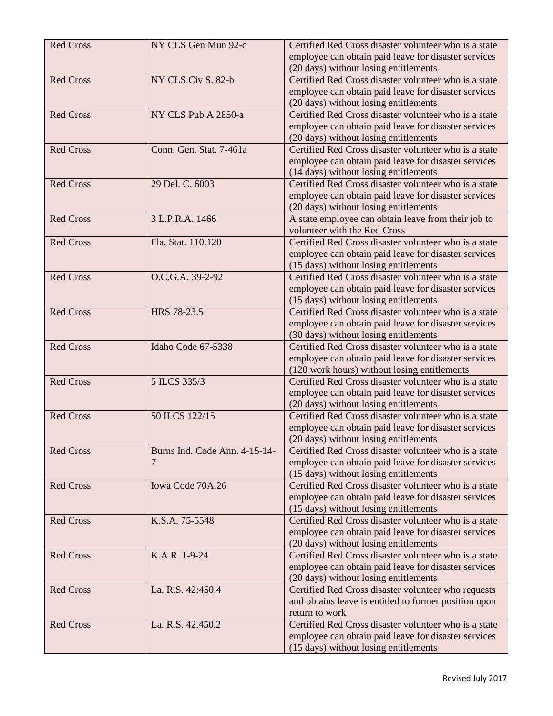| <b>Red Cross</b> | NY CLS Gen Mun 92-c           | Certified Red Cross disaster volunteer who is a state |
|------------------|-------------------------------|-------------------------------------------------------|
|                  |                               | employee can obtain paid leave for disaster services  |
|                  |                               | (20 days) without losing entitlements                 |
| <b>Red Cross</b> | NY CLS Civ S. 82-b            | Certified Red Cross disaster volunteer who is a state |
|                  |                               | employee can obtain paid leave for disaster services  |
|                  |                               | (20 days) without losing entitlements                 |
| <b>Red Cross</b> | NY CLS Pub A 2850-a           | Certified Red Cross disaster volunteer who is a state |
|                  |                               | employee can obtain paid leave for disaster services  |
|                  |                               | (20 days) without losing entitlements                 |
| <b>Red Cross</b> | Conn. Gen. Stat. 7-461a       | Certified Red Cross disaster volunteer who is a state |
|                  |                               | employee can obtain paid leave for disaster services  |
|                  |                               | (14 days) without losing entitlements                 |
| <b>Red Cross</b> | 29 Del. C. 6003               | Certified Red Cross disaster volunteer who is a state |
|                  |                               | employee can obtain paid leave for disaster services  |
|                  |                               | (20 days) without losing entitlements                 |
| <b>Red Cross</b> | 3 L.P.R.A. 1466               | A state employee can obtain leave from their job to   |
|                  |                               | volunteer with the Red Cross                          |
| <b>Red Cross</b> | Fla. Stat. 110.120            | Certified Red Cross disaster volunteer who is a state |
|                  |                               | employee can obtain paid leave for disaster services  |
|                  |                               | (15 days) without losing entitlements                 |
| <b>Red Cross</b> | O.C.G.A. 39-2-92              | Certified Red Cross disaster volunteer who is a state |
|                  |                               | employee can obtain paid leave for disaster services  |
|                  |                               | (15 days) without losing entitlements                 |
| <b>Red Cross</b> | HRS 78-23.5                   | Certified Red Cross disaster volunteer who is a state |
|                  |                               | employee can obtain paid leave for disaster services  |
|                  |                               | (30 days) without losing entitlements                 |
| <b>Red Cross</b> | Idaho Code 67-5338            | Certified Red Cross disaster volunteer who is a state |
|                  |                               | employee can obtain paid leave for disaster services  |
|                  |                               | (120 work hours) without losing entitlements          |
| <b>Red Cross</b> | 5 ILCS 335/3                  | Certified Red Cross disaster volunteer who is a state |
|                  |                               | employee can obtain paid leave for disaster services  |
|                  |                               | (20 days) without losing entitlements                 |
| <b>Red Cross</b> | 50 ILCS 122/15                | Certified Red Cross disaster volunteer who is a state |
|                  |                               | employee can obtain paid leave for disaster services  |
|                  |                               | (20 days) without losing entitlements                 |
| <b>Red Cross</b> | Burns Ind. Code Ann. 4-15-14- | Certified Red Cross disaster volunteer who is a state |
|                  | 7                             | employee can obtain paid leave for disaster services  |
|                  |                               | (15 days) without losing entitlements                 |
| <b>Red Cross</b> | Iowa Code 70A.26              | Certified Red Cross disaster volunteer who is a state |
|                  |                               | employee can obtain paid leave for disaster services  |
|                  |                               | (15 days) without losing entitlements                 |
| <b>Red Cross</b> | K.S.A. 75-5548                | Certified Red Cross disaster volunteer who is a state |
|                  |                               | employee can obtain paid leave for disaster services  |
|                  |                               | (20 days) without losing entitlements                 |
| <b>Red Cross</b> | K.A.R. 1-9-24                 | Certified Red Cross disaster volunteer who is a state |
|                  |                               | employee can obtain paid leave for disaster services  |
|                  |                               | (20 days) without losing entitlements                 |
| <b>Red Cross</b> | La. R.S. 42:450.4             | Certified Red Cross disaster volunteer who requests   |
|                  |                               | and obtains leave is entitled to former position upon |
|                  |                               | return to work                                        |
| <b>Red Cross</b> | La. R.S. 42.450.2             | Certified Red Cross disaster volunteer who is a state |
|                  |                               | employee can obtain paid leave for disaster services  |
|                  |                               | (15 days) without losing entitlements                 |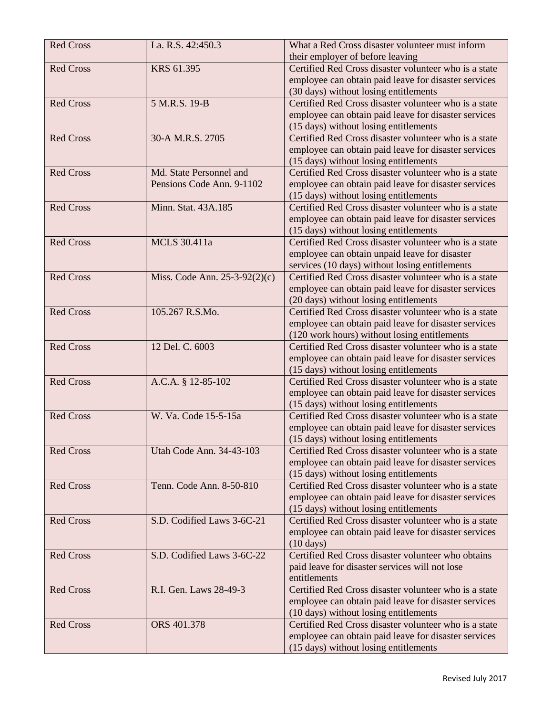| <b>Red Cross</b> | La. R.S. 42:450.3               | What a Red Cross disaster volunteer must inform<br>their employer of before leaving |
|------------------|---------------------------------|-------------------------------------------------------------------------------------|
| <b>Red Cross</b> | KRS 61.395                      | Certified Red Cross disaster volunteer who is a state                               |
|                  |                                 | employee can obtain paid leave for disaster services                                |
|                  |                                 | (30 days) without losing entitlements                                               |
| <b>Red Cross</b> | 5 M.R.S. 19-B                   | Certified Red Cross disaster volunteer who is a state                               |
|                  |                                 | employee can obtain paid leave for disaster services                                |
|                  |                                 | (15 days) without losing entitlements                                               |
| <b>Red Cross</b> | 30-A M.R.S. 2705                | Certified Red Cross disaster volunteer who is a state                               |
|                  |                                 | employee can obtain paid leave for disaster services                                |
|                  |                                 | (15 days) without losing entitlements                                               |
| <b>Red Cross</b> | Md. State Personnel and         | Certified Red Cross disaster volunteer who is a state                               |
|                  | Pensions Code Ann. 9-1102       | employee can obtain paid leave for disaster services                                |
|                  |                                 | (15 days) without losing entitlements                                               |
| <b>Red Cross</b> | Minn. Stat. 43A.185             | Certified Red Cross disaster volunteer who is a state                               |
|                  |                                 | employee can obtain paid leave for disaster services                                |
|                  |                                 | (15 days) without losing entitlements                                               |
| <b>Red Cross</b> | <b>MCLS</b> 30.411a             | Certified Red Cross disaster volunteer who is a state                               |
|                  |                                 | employee can obtain unpaid leave for disaster                                       |
|                  |                                 | services (10 days) without losing entitlements                                      |
| <b>Red Cross</b> | Miss. Code Ann. $25-3-92(2)(c)$ | Certified Red Cross disaster volunteer who is a state                               |
|                  |                                 | employee can obtain paid leave for disaster services                                |
|                  |                                 | (20 days) without losing entitlements                                               |
| <b>Red Cross</b> | 105.267 R.S.Mo.                 | Certified Red Cross disaster volunteer who is a state                               |
|                  |                                 | employee can obtain paid leave for disaster services                                |
|                  |                                 | (120 work hours) without losing entitlements                                        |
| <b>Red Cross</b> | 12 Del. C. 6003                 | Certified Red Cross disaster volunteer who is a state                               |
|                  |                                 | employee can obtain paid leave for disaster services                                |
|                  |                                 | (15 days) without losing entitlements                                               |
| <b>Red Cross</b> | A.C.A. § 12-85-102              | Certified Red Cross disaster volunteer who is a state                               |
|                  |                                 | employee can obtain paid leave for disaster services                                |
|                  |                                 | (15 days) without losing entitlements                                               |
| <b>Red Cross</b> | W. Va. Code 15-5-15a            | Certified Red Cross disaster volunteer who is a state                               |
|                  |                                 | employee can obtain paid leave for disaster services                                |
|                  |                                 | (15 days) without losing entitlements                                               |
| <b>Red Cross</b> | Utah Code Ann. 34-43-103        | Certified Red Cross disaster volunteer who is a state                               |
|                  |                                 | employee can obtain paid leave for disaster services                                |
|                  |                                 | (15 days) without losing entitlements                                               |
| <b>Red Cross</b> | Tenn. Code Ann. 8-50-810        | Certified Red Cross disaster volunteer who is a state                               |
|                  |                                 | employee can obtain paid leave for disaster services                                |
|                  |                                 | (15 days) without losing entitlements                                               |
| <b>Red Cross</b> | S.D. Codified Laws 3-6C-21      | Certified Red Cross disaster volunteer who is a state                               |
|                  |                                 | employee can obtain paid leave for disaster services                                |
|                  |                                 | $(10 \text{ days})$                                                                 |
| <b>Red Cross</b> | S.D. Codified Laws 3-6C-22      | Certified Red Cross disaster volunteer who obtains                                  |
|                  |                                 | paid leave for disaster services will not lose                                      |
|                  |                                 | entitlements                                                                        |
| <b>Red Cross</b> | R.I. Gen. Laws 28-49-3          | Certified Red Cross disaster volunteer who is a state                               |
|                  |                                 | employee can obtain paid leave for disaster services                                |
|                  |                                 | (10 days) without losing entitlements                                               |
| <b>Red Cross</b> | ORS 401.378                     | Certified Red Cross disaster volunteer who is a state                               |
|                  |                                 | employee can obtain paid leave for disaster services                                |
|                  |                                 | (15 days) without losing entitlements                                               |